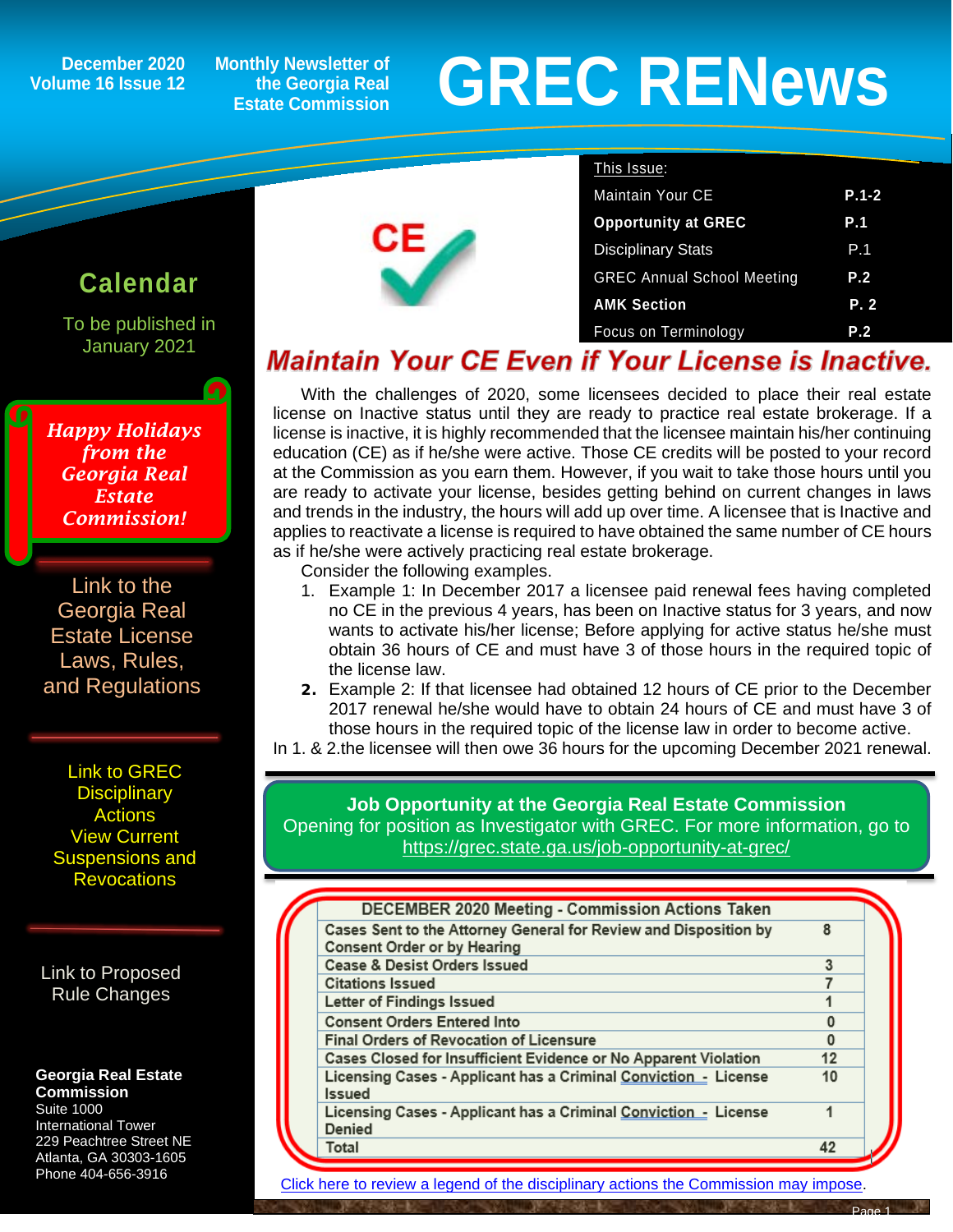**December 2020 Volume 16 Issue 12** **Monthly Newsletter of the Georgia Real Estate Commission**

# **GREC RENewsGREC RENews**

### To be published in January 2021 *Happy Holidays from the Georgia Real Estate Commission!*

**Calendar**

ĺ

[Link to the](https://grec.state.ga.us/information-research/license-law/)  [Georgia Real](https://grec.state.ga.us/information-research/license-law/)  [Estate License](https://grec.state.ga.us/information-research/license-law/)  [Laws, Rules,](https://grec.state.ga.us/information-research/license-law/)  [and Regulations](https://grec.state.ga.us/information-research/license-law/)

[Link to GREC](http://www.grec.state.ga.us/about/resanctions.html)  **Disciplinary [Actions](http://www.grec.state.ga.us/about/resanctions.html)** View Current [Suspensions and](https://grec.state.ga.us/information-research/disciplinary-actions/real-estate/)  **Revocations** 

[Link to Proposed](https://grec.state.ga.us/information-research/disciplinary-actions/real-estate/)  [Rule Changes](https://grec.state.ga.us/information-research/legislation/real-estate/)

#### **Georgia Real Estate Commission**

Suite 1000 International Tower 229 Peachtree Street NE Atlanta, GA 30303-1605 Phone 404-656-3916



| This Issue:                       |            |
|-----------------------------------|------------|
| <b>Maintain Your CE</b>           | $P.1-2$    |
| <b>Opportunity at GREC</b>        | <b>P.1</b> |
| <b>Disciplinary Stats</b>         | P.1        |
| <b>GREC Annual School Meeting</b> | P.2        |
| <b>AMK Section</b>                | P.2        |
| <b>Focus on Terminology</b>       | P.2        |

## **Maintain Your CE Even if Your License is Inactive.**

With the challenges of 2020, some licensees decided to place their real estate license on Inactive status until they are ready to practice real estate brokerage. If a license is inactive, it is highly recommended that the licensee maintain his/her continuing education (CE) as if he/she were active. Those CE credits will be posted to your record at the Commission as you earn them. However, if you wait to take those hours until you are ready to activate your license, besides getting behind on current changes in laws and trends in the industry, the hours will add up over time. A licensee that is Inactive and applies to reactivate a license is required to have obtained the same number of CE hours as if he/she were actively practicing real estate brokerage.

Consider the following examples.

- 1. Example 1: In December 2017 a licensee paid renewal fees having completed no CE in the previous 4 years, has been on Inactive status for 3 years, and now wants to activate his/her license; Before applying for active status he/she must obtain 36 hours of CE and must have 3 of those hours in the required topic of the license law.
- **2.** Example 2: If that licensee had obtained 12 hours of CE prior to the December 2017 renewal he/she would have to obtain 24 hours of CE and must have 3 of those hours in the required topic of the license law in order to become active.

In 1. & 2.the licensee will then owe 36 hours for the upcoming December 2021 renewal.

**Job Opportunity at the Georgia Real Estate Commission** Opening for position as Investigator with GREC. For more information, go to <https://grec.state.ga.us/job-opportunity-at-grec/>

| DECEMBER 2020 Meeting - Commission Actions Taken                                                       |    |  |
|--------------------------------------------------------------------------------------------------------|----|--|
| Cases Sent to the Attorney General for Review and Disposition by<br><b>Consent Order or by Hearing</b> | 8  |  |
| <b>Cease &amp; Desist Orders Issued</b>                                                                | 3  |  |
| <b>Citations Issued</b>                                                                                |    |  |
| Letter of Findings Issued                                                                              |    |  |
| <b>Consent Orders Entered Into</b>                                                                     | 0  |  |
| <b>Final Orders of Revocation of Licensure</b>                                                         | 0  |  |
| Cases Closed for Insufficient Evidence or No Apparent Violation                                        | 12 |  |
| Licensing Cases - Applicant has a Criminal Conviction - License<br><b>Issued</b>                       | 10 |  |
| Licensing Cases - Applicant has a Criminal Conviction - License<br>Denied                              | 1  |  |
| Total                                                                                                  | 42 |  |
|                                                                                                        |    |  |

[Click here to review a legend of the disciplinary actions the Commission may impose.](https://www.jmre.com/grec/GRECDisciplinaryTools.pdf)